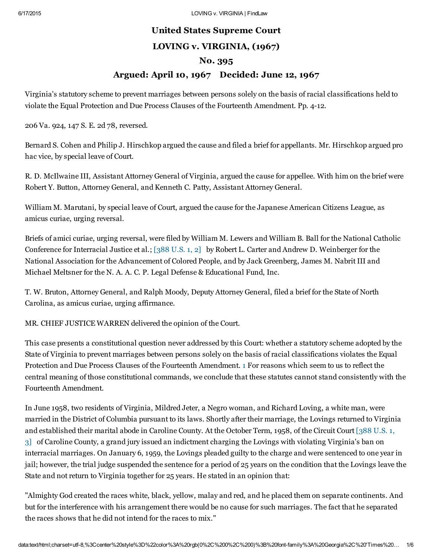# United States Supreme Court LOVING v. VIRGINIA, (1967) No. 395 Argued: April 10, 1967 Decided: June 12, 1967

Virginia's statutory scheme to prevent marriages between persons solely on the basis of racial classifications held to violate the Equal Protection and Due Process Clauses of the Fourteenth Amendment. Pp. 412.

206 Va. 924, 147 S. E. 2d 78, reversed.

Bernard S. Cohen and Philip J. Hirschkop argued the cause and filed a brief for appellants. Mr. Hirschkop argued pro hac vice, by special leave of Court.

R. D. McIlwaine III, Assistant Attorney General of Virginia, argued the cause for appellee. With him on the brief were Robert Y. Button, Attorney General, and Kenneth C. Patty, Assistant Attorney General.

William M. Marutani, by special leave of Court, argued the cause for the Japanese American Citizens League, as amicus curiae, urging reversal.

Briefs of amici curiae, urging reversal, were filed by William M. Lewers and William B. Ball for the National Catholic Conference for Interracial Justice et al.; [388 U.S. 1, 2] by Robert L. Carter and Andrew D. Weinberger for the National Association for the Advancement of Colored People, and by Jack Greenberg, James M. NabritIII and Michael Meltsner for the N. A. A. C. P. Legal Defense & Educational Fund, Inc.

T. W. Bruton, Attorney General, and Ralph Moody, Deputy Attorney General, filed a brief for the State of North Carolina, as amicus curiae, urging affirmance.

MR. CHIEF JUSTICE WARREN delivered the opinion of the Court.

This case presents a constitutional question never addressed by this Court: whether a statutory scheme adopted by the State of Virginia to prevent marriages between persons solely on the basis of racial classifications violates the Equal Protection and Due Process Clauses of the Fourteenth Amendment. [1](http://caselaw.findlaw.com/us-supreme-court/388/1.html#f1) For reasons which seem to us to reflect the central meaning of those constitutional commands, we conclude that these statutes cannot stand consistently with the Fourteenth Amendment.

In June 1958, two residents of Virginia, Mildred Jeter, a Negro woman, and Richard Loving, a white man, were married in the District of Columbia pursuant to its laws. Shortly after their marriage, the Lovings returned to Virginia and established their marital abode in Caroline County. At the October Term, 1958, of the Circuit Court [388 U.S. 1, 3] of Caroline County, a grand jury issued an indictment charging the Lovings with violating Virginia's ban on interracial marriages. On January 6, 1959, the Lovings pleaded guilty to the charge and were sentenced to one year in jail; however, the trial judge suspended the sentence for a period of 25 years on the condition that the Lovings leave the State and not return to Virginia together for 25 years. He stated in an opinion that:

"Almighty God created the races white, black, yellow, malay and red, and he placed them on separate continents. And but for the interference with his arrangement there would be no cause for such marriages. The fact that he separated the races shows that he did not intend for the races to mix."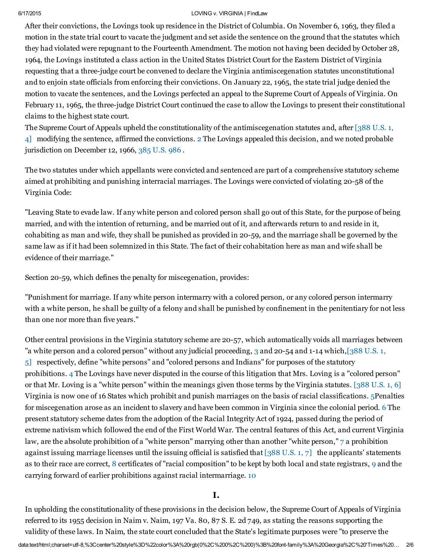After their convictions, the Lovings took up residence in the District of Columbia. On November 6, 1963, they filed a motion in the state trial court to vacate the judgment and set aside the sentence on the ground that the statutes which they had violated were repugnant to the Fourteenth Amendment. The motion not having been decided by October 28, 1964, the Lovings instituted a class action in the United States District Court for the Eastern District of Virginia requesting that a threejudge court be convened to declare the Virginia antimiscegenation statutes unconstitutional and to enjoin state officials from enforcing their convictions. On January 22, 1965, the state trial judge denied the motion to vacate the sentences, and the Lovings perfected an appeal to the Supreme Court of Appeals of Virginia. On February 11, 1965, the three-judge District Court continued the case to allow the Lovings to present their constitutional claims to the highest state court.

The Supreme Court of Appeals upheld the constitutionality of the antimiscegenation statutes and, after [388 U.S. 1, 4] modifying the sentence, affirmed the convictions. [2](http://caselaw.findlaw.com/us-supreme-court/388/1.html#f2) The Lovings appealed this decision, and we noted probable jurisdiction on December 12, 1966, 385 [U.S.](http://caselaw.findlaw.com/us-supreme-court/385/986.html) 986 .

The two statutes under which appellants were convicted and sentenced are part of a comprehensive statutory scheme aimed at prohibiting and punishing interracial marriages. The Lovings were convicted of violating 20-58 of the Virginia Code:

"Leaving State to evade law. If any white person and colored person shall go out of this State, for the purpose of being married, and with the intention of returning, and be married out of it, and afterwards return to and reside in it, cohabiting as man and wife, they shall be punished as provided in 2059, and the marriage shall be governed by the same law as if it had been solemnized in this State. The fact of their cohabitation here as man and wife shall be evidence of their marriage."

Section 20-59, which defines the penalty for miscegenation, provides:

"Punishment for marriage. If any white person intermarry with a colored person, or any colored person intermarry with a white person, he shall be guilty of a felony and shall be punished by confinement in the penitentiary for not less than one nor more than five years."

Other central provisions in the Virginia statutory scheme are 20-57, which automatically voids all marriages between "a white person and a colored person" without any judicial proceeding, [3](http://caselaw.findlaw.com/us-supreme-court/388/1.html#f3) and 20-54 and 1-14 which, [388 U.S. 1, 5] respectively, define "white persons" and "colored persons and Indians" for purposes of the statutory prohibitions. [4](http://caselaw.findlaw.com/us-supreme-court/388/1.html#f4) The Lovings have never disputed in the course of this litigation that Mrs. Loving is a "colored person" or that Mr. Loving is a "white person" within the meanings given those terms by the Virginia statutes. [388 U.S. 1, 6] Virginia is now one of 16 States which prohibit and punish marriages on the basis of racial classifications. [5](http://caselaw.findlaw.com/us-supreme-court/388/1.html#f5)Penalties for miscegenation arose as an incident to slavery and have been common in Virginia since the colonial period. [6](http://caselaw.findlaw.com/us-supreme-court/388/1.html#f6) The present statutory scheme dates from the adoption of the Racial Integrity Act of 1924, passed during the period of extreme nativism which followed the end of the First World War. The central features of this Act, and current Virginia law, are the absolute prohibition of a "white person" marrying other than another "white person," [7](http://caselaw.findlaw.com/us-supreme-court/388/1.html#f7) a prohibition against issuing marriage licenses until the issuing official is satisfied that [388 U.S. 1, 7] the applicants' statements as to their race are correct, [8](http://caselaw.findlaw.com/us-supreme-court/388/1.html#f8) certificates of "racial composition" to be kept by both local and state registrars, [9](http://caselaw.findlaw.com/us-supreme-court/388/1.html#f9) and the carrying forward of earlier prohibitions against racial intermarriage. [10](http://caselaw.findlaw.com/us-supreme-court/388/1.html#f10)

# I.

In upholding the constitutionality of these provisions in the decision below, the Supreme Court of Appeals of Virginia referred to its 1955 decision in Naim v. Naim, 197 Va. 80, 87 S. E. 2d 749, as stating the reasons supporting the validity of these laws. In Naim, the state court concluded that the State's legitimate purposes were "to preserve the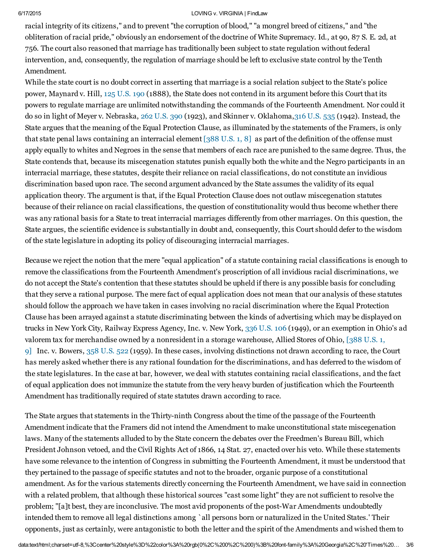racial integrity of its citizens," and to prevent "the corruption of blood," "a mongrel breed of citizens," and "the obliteration of racial pride," obviously an endorsement of the doctrine of White Supremacy. Id., at 90, 87 S. E. 2d, at 756. The court also reasoned that marriage has traditionally been subject to state regulation without federal intervention, and, consequently, the regulation of marriage should be left to exclusive state control by the Tenth Amendment.

While the state court is no doubt correct in asserting that marriage is a social relation subject to the State's police power, Maynard v. Hill, 125 [U.S.](http://caselaw.findlaw.com/us-supreme-court/125/190.html) 190 (1888), the State does not contend in its argument before this Court that its powers to regulate marriage are unlimited notwithstanding the commands of the Fourteenth Amendment. Nor could it do so in light of Meyer v. Nebraska, 262 [U.S.](http://caselaw.findlaw.com/us-supreme-court/262/390.html) 390 (1923), and Skinner v. Oklahoma,316 [U.S.](http://caselaw.findlaw.com/us-supreme-court/316/535.html) 535 (1942). Instead, the State argues that the meaning of the Equal Protection Clause, as illuminated by the statements of the Framers, is only that state penal laws containing an interracial element [388 U.S. 1, 8] as part of the definition of the offense must apply equally to whites and Negroes in the sense that members of each race are punished to the same degree. Thus, the State contends that, because its miscegenation statutes punish equally both the white and the Negro participants in an interracial marriage, these statutes, despite their reliance on racial classifications, do not constitute an invidious discrimination based upon race. The second argument advanced by the State assumes the validity of its equal application theory. The argument is that, if the Equal Protection Clause does not outlaw miscegenation statutes because of their reliance on racial classifications, the question of constitutionality would thus become whether there was any rational basis for a State to treat interracial marriages differently from other marriages. On this question, the State argues, the scientific evidence is substantially in doubt and, consequently, this Court should defer to the wisdom of the state legislature in adopting its policy of discouraging interracial marriages.

Because we reject the notion that the mere "equal application" of a statute containing racial classifications is enough to remove the classifications from the Fourteenth Amendment's proscription of all invidious racial discriminations, we do not accept the State's contention that these statutes should be upheld if there is any possible basis for concluding that they serve a rational purpose. The mere fact of equal application does not mean that our analysis of these statutes should follow the approach we have taken in cases involving no racial discrimination where the Equal Protection Clause has been arrayed against a statute discriminating between the kinds of advertising which may be displayed on trucks in New York City, Railway Express Agency, Inc. v. New York, 336 [U.S.](http://caselaw.findlaw.com/us-supreme-court/336/106.html) 106 (1949), or an exemption in Ohio's ad valorem tax for merchandise owned by a nonresident in a storage warehouse, Allied Stores of Ohio, [388 U.S. 1, 9] Inc. v. Bowers, 358 [U.S.](http://caselaw.findlaw.com/us-supreme-court/358/522.html) 522 (1959). In these cases, involving distinctions not drawn according to race, the Court has merely asked whether there is any rational foundation for the discriminations, and has deferred to the wisdom of the state legislatures. In the case at bar, however, we deal with statutes containing racial classifications, and the fact of equal application does not immunize the statute from the very heavy burden of justification which the Fourteenth Amendment has traditionally required of state statutes drawn according to race.

The State argues that statements in the Thirty-ninth Congress about the time of the passage of the Fourteenth Amendment indicate that the Framers did not intend the Amendment to make unconstitutional state miscegenation laws. Many of the statements alluded to by the State concern the debates over the Freedmen's Bureau Bill, which President Johnson vetoed, and the Civil Rights Act of 1866, 14 Stat. 27, enacted over his veto. While these statements have some relevance to the intention of Congress in submitting the Fourteenth Amendment, it must be understood that they pertained to the passage of specific statutes and not to the broader, organic purpose of a constitutional amendment. As for the various statements directly concerning the Fourteenth Amendment, we have said in connection with a related problem, that although these historical sources "cast some light" they are not sufficient to resolve the problem; "[a]t best, they are inconclusive. The most avid proponents of the postWar Amendments undoubtedly intended them to remove all legal distinctions among `all persons born or naturalized in the United States.' Their opponents, just as certainly, were antagonistic to both the letter and the spirit of the Amendments and wished them to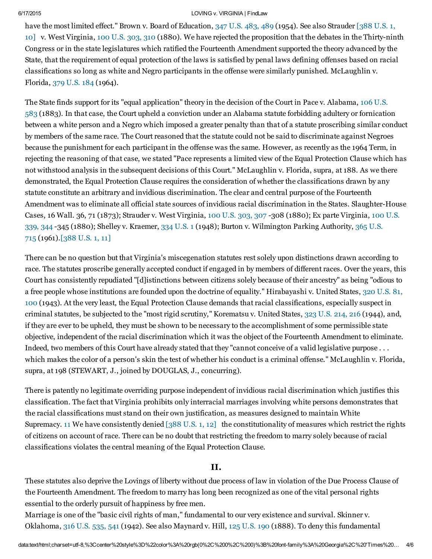have the most limited effect." Brown v. Board of Education, 347 U.S. [483,](http://caselaw.findlaw.com/us-supreme-court/347/483.html#489) 489 (1954). See also Strauder [388 U.S. 1, 10] v. West Virginia, 100 U.S. [303,](http://caselaw.findlaw.com/us-supreme-court/100/303.html#310) 310 (1880). We have rejected the proposition that the debates in the Thirtyninth Congress or in the state legislatures which ratified the Fourteenth Amendment supported the theory advanced by the State, that the requirement of equal protection of the laws is satisfied by penal laws defining offenses based on racial classifications so long as white and Negro participants in the offense were similarly punished. McLaughlin v. Florida, 379 [U.S.](http://caselaw.findlaw.com/us-supreme-court/379/184.html) 184 (1964).

The State finds support for its "equal [application"](http://caselaw.findlaw.com/us-supreme-court/106/583.html) theory in the decision of the Court in Pace v. Alabama, 106 U.S. 583 (1883). In that case, the Court upheld a conviction under an Alabama statute forbidding adultery or fornication between a white person and a Negro which imposed a greater penalty than that of a statute proscribing similar conduct by members of the same race. The Court reasoned that the statute could not be said to discriminate against Negroes because the punishment for each participant in the offense was the same. However, as recently as the 1964 Term, in rejecting the reasoning of that case, we stated "Pace represents a limited view of the Equal Protection Clause which has not withstood analysis in the subsequent decisions of this Court." McLaughlin v. Florida, supra, at 188. As we there demonstrated, the Equal Protection Clause requires the consideration of whether the classifications drawn by any statute constitute an arbitrary and invidious discrimination. The clear and central purpose of the Fourteenth Amendment was to eliminate all official state sources of invidious racial discrimination in the States. Slaughter-House Cases, 16 Wall. 36, 71 (1873); Strauder v. West Virginia, 100 U.S. [303,](http://caselaw.findlaw.com/us-supreme-court/100/303.html#307) 307 -308 (1880); Ex parte Virginia, 100 U.S. 339, 344 345 (1880); Shelley v. Kraemer, 334 [U.S.](http://caselaw.findlaw.com/us-supreme-court/334/1.html) 1 (1948); Burton v. [Wilmington](http://caselaw.findlaw.com/us-supreme-court/100/339.html#344) Parking Authority, 365 U.S. 715 (1961).[388 U.S. 1, 11]

There can be no question but that Virginia's miscegenation statutes rest solely upon distinctions drawn according to race. The statutes proscribe generally accepted conduct if engaged in by members of different races. Over the years, this Court has consistently repudiated "[d]istinctions between citizens solely because of their ancestry" as being "odious to a free people whose institutions are founded upon the doctrine of equality." Hirabayashi v. United States, 320 U.S. 81, 100 (1943). At the very least, the Equal Protection Clause demands that racial [classifications,](http://caselaw.findlaw.com/us-supreme-court/320/81.html#100) especially suspect in criminal statutes, be subjected to the "most rigid scrutiny," Korematsu v. United States, 323 [U.S.](http://caselaw.findlaw.com/us-supreme-court/323/214.html#216) 214, 216 (1944), and, if they are ever to be upheld, they must be shown to be necessary to the accomplishment of some permissible state objective, independent of the racial discrimination which it was the object of the Fourteenth Amendment to eliminate. Indeed, two members of this Court have already stated that they "cannot conceive of a valid legislative purpose . . . which makes the color of a person's skin the test of whether his conduct is a criminal offense." McLaughlin v. Florida, supra, at 198 (STEWART, J., joined by DOUGLAS, J., concurring).

There is patently no legitimate overriding purpose independent of invidious racial discrimination which justifies this classification. The fact that Virginia prohibits only interracial marriages involving white persons demonstrates that the racial classifications must stand on their own justification, as measures designed to maintain White Supremacy. [11](http://caselaw.findlaw.com/us-supreme-court/388/1.html#f11) We have consistently denied [388 U.S. 1, 12] the constitutionality of measures which restrict the rights of citizens on account of race. There can be no doubt that restricting the freedom to marry solely because of racial classifications violates the central meaning of the Equal Protection Clause.

# II.

These statutes also deprive the Lovings of liberty without due process of law in violation of the Due Process Clause of the Fourteenth Amendment. The freedom to marry has long been recognized as one of the vital personal rights essential to the orderly pursuit of happiness by free men.

Marriage is one of the "basic civil rights of man," fundamental to our very existence and survival. Skinner v. Oklahoma, 316 U.S. [535,](http://caselaw.findlaw.com/us-supreme-court/316/535.html#541) 541 (1942). See also Maynard v. Hill, 125 [U.S.](http://caselaw.findlaw.com/us-supreme-court/125/190.html) 190 (1888). To deny this fundamental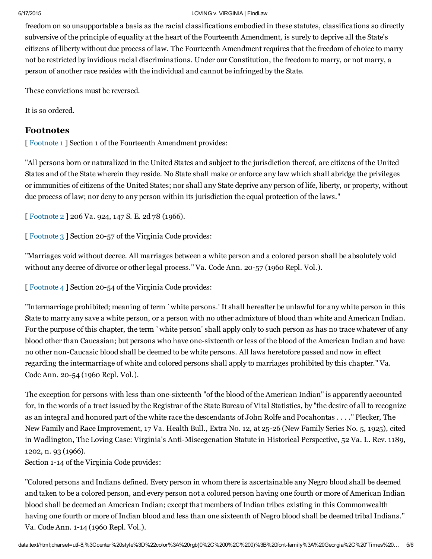freedom on so unsupportable a basis as the racial classifications embodied in these statutes, classifications so directly subversive of the principle of equality at the heart of the Fourteenth Amendment, is surely to deprive all the State's citizens of liberty without due process of law. The Fourteenth Amendment requires that the freedom of choice to marry not be restricted by invidious racial discriminations. Under our Constitution, the freedom to marry, or not marry, a person of another race resides with the individual and cannot be infringed by the State.

These convictions must be reversed.

It is so ordered.

# Footnotes

[ [Footnote](http://caselaw.findlaw.com/us-supreme-court/388/1.html#t1) 1 ] Section 1 of the Fourteenth Amendment provides:

"All persons born or naturalized in the United States and subject to the jurisdiction thereof, are citizens of the United States and of the State wherein they reside. No State shall make or enforce any law which shall abridge the privileges or immunities of citizens of the United States; nor shall any State deprive any person of life, liberty, or property, without due process of law; nor deny to any person within its jurisdiction the equal protection of the laws."

[ [Footnote](http://caselaw.findlaw.com/us-supreme-court/388/1.html#t2) 2 ] 206 Va. 924, 147 S. E. 2d 78 (1966).

[ [Footnote](http://caselaw.findlaw.com/us-supreme-court/388/1.html#t3) 3 ] Section 20-57 of the Virginia Code provides:

"Marriages void without decree. All marriages between a white person and a colored person shall be absolutely void without any decree of divorce or other legal process." Va. Code Ann. 20-57 (1960 Repl. Vol.).

[ [Footnote](http://caselaw.findlaw.com/us-supreme-court/388/1.html#t4) 4 ] Section 20-54 of the Virginia Code provides:

"Intermarriage prohibited; meaning of term `white persons.' It shall hereafter be unlawful for any white person in this State to marry any save a white person, or a person with no other admixture of blood than white and American Indian. For the purpose of this chapter, the term `white person' shall apply only to such person as has no trace whatever of any blood other than Caucasian; but persons who have onesixteenth or less of the blood of the American Indian and have no other non-Caucasic blood shall be deemed to be white persons. All laws heretofore passed and now in effect regarding the intermarriage of white and colored persons shall apply to marriages prohibited by this chapter." Va. Code Ann. 20-54 (1960 Repl. Vol.).

The exception for persons with less than onesixteenth "of the blood of the American Indian" is apparently accounted for, in the words of a tract issued by the Registrar of the State Bureau of Vital Statistics, by "the desire of all to recognize as an integral and honored part of the white race the descendants of John Rolfe and Pocahontas . . . ." Plecker, The New Family and Race Improvement, 17 Va. Health Bull., Extra No. 12, at 25-26 (New Family Series No. 5, 1925), cited in Wadlington, The Loving Case: Virginia's Anti-Miscegenation Statute in Historical Perspective, 52 Va. L. Rev. 1189, 1202, n. 93 (1966).

Section 1-14 of the Virginia Code provides:

"Colored persons and Indians defined. Every person in whom there is ascertainable any Negro blood shall be deemed and taken to be a colored person, and every person not a colored person having one fourth or more of American Indian blood shall be deemed an American Indian; except that members of Indian tribes existing in this Commonwealth having one fourth or more of Indian blood and less than one sixteenth of Negro blood shall be deemed tribal Indians." Va. Code Ann. 1-14 (1960 Repl. Vol.).